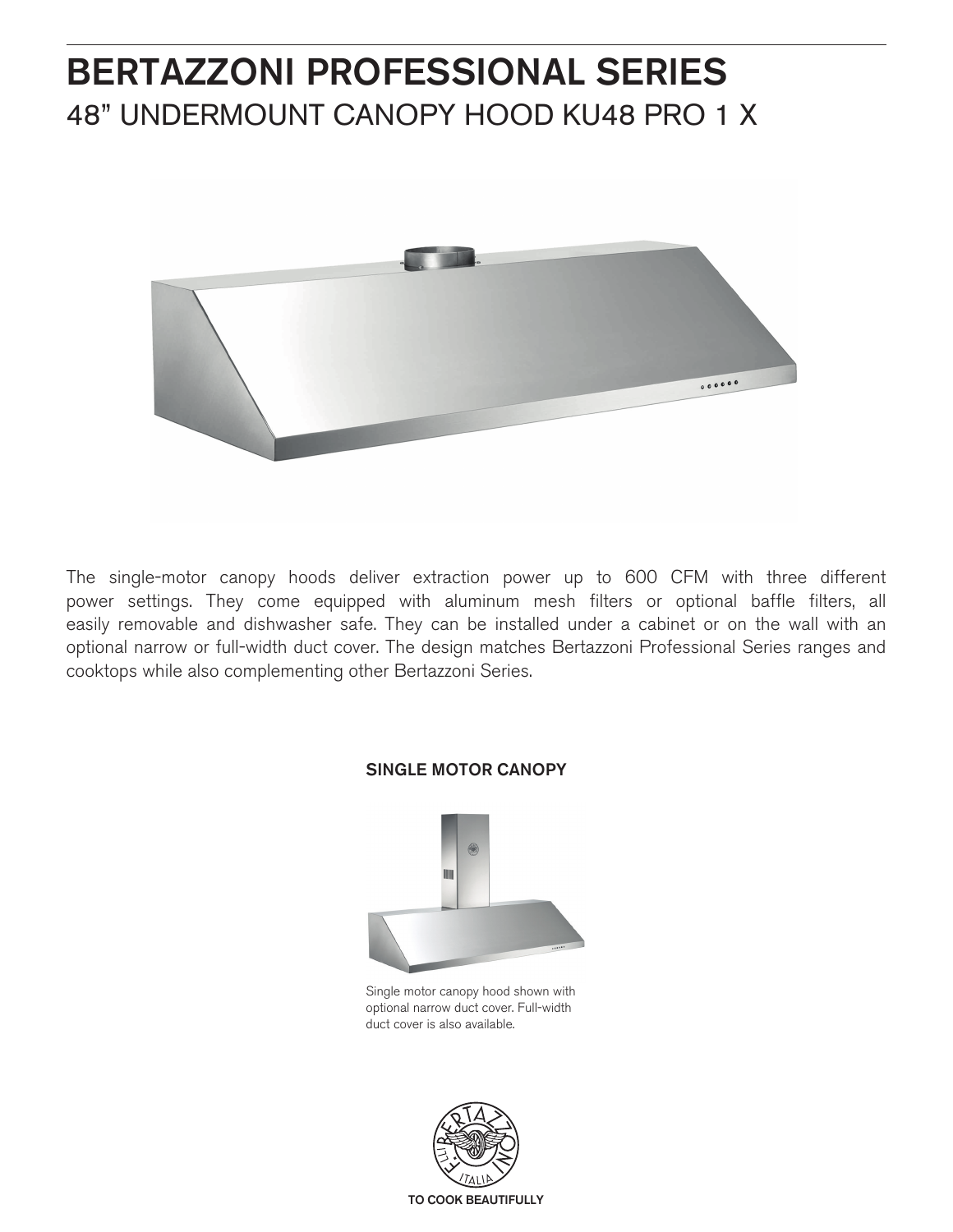# BERTAZZONI PROFESSIONAL SERIES 48" UNDERMOUNT CANOPY HOOD KU48 PRO 1 X



The single-motor canopy hoods deliver extraction power up to 600 CFM with three different power settings. They come equipped with aluminum mesh filters or optional baffle filters, all easily removable and dishwasher safe. They can be installed under a cabinet or on the wall with an optional narrow or full-width duct cover. The design matches Bertazzoni Professional Series ranges and cooktops while also complementing other Bertazzoni Series.



# SINGLE MOTOR CANOPY

Single motor canopy hood shown with optional narrow duct cover. Full-width duct cover is also available.